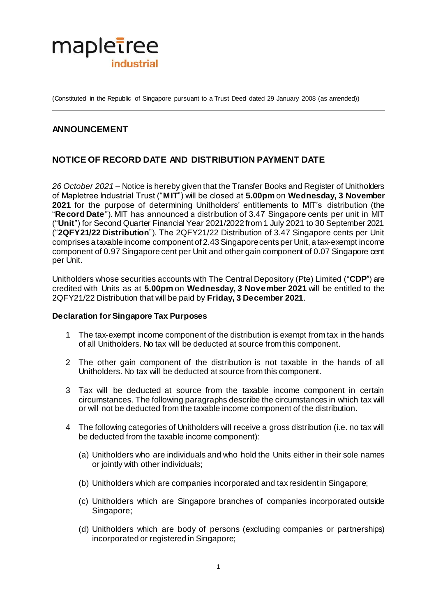

(Constituted in the Republic of Singapore pursuant to a Trust Deed dated 29 January 2008 (as amended))

# **ANNOUNCEMENT**

# **NOTICE OF RECORD DATE AND DISTRIBUTION PAYMENT DATE**

*26 October 2021* – Notice is hereby given that the Transfer Books and Register of Unitholders of Mapletree Industrial Trust ("**MIT**") will be closed at **5.00pm** on **Wednesday, 3 November 2021** for the purpose of determining Unitholders' entitlements to MIT's distribution (the "**Record Date**"). MIT has announced a distribution of 3.47 Singapore cents per unit in MIT ("**Unit**") for Second Quarter Financial Year 2021/2022 from 1 July 2021 to 30 September 2021 ("**2QFY21/22 Distribution**"). The 2QFY21/22 Distribution of 3.47 Singapore cents per Unit comprises a taxable income component of 2.43Singapore cents per Unit, a tax-exempt income component of 0.97 Singapore cent per Unit and other gain component of 0.07 Singapore cent per Unit.

Unitholders whose securities accounts with The Central Depository (Pte) Limited ("**CDP**") are credited with Units as at **5.00pm** on **Wednesday, 3 November 2021** will be entitled to the 2QFY21/22 Distribution that will be paid by **Friday, 3 December 2021**.

#### **Declaration for Singapore Tax Purposes**

- 1 The tax-exempt income component of the distribution is exempt from tax in the hands of all Unitholders. No tax will be deducted at source from this component.
- 2 The other gain component of the distribution is not taxable in the hands of all Unitholders. No tax will be deducted at source from this component.
- 3 Tax will be deducted at source from the taxable income component in certain circumstances. The following paragraphs describe the circumstances in which tax will or will not be deducted from the taxable income component of the distribution.
- 4 The following categories of Unitholders will receive a gross distribution (i.e. no tax will be deducted from the taxable income component):
	- (a) Unitholders who are individuals and who hold the Units either in their sole names or jointly with other individuals;
	- (b) Unitholders which are companies incorporated and tax resident in Singapore;
	- (c) Unitholders which are Singapore branches of companies incorporated outside Singapore;
	- (d) Unitholders which are body of persons (excluding companies or partnerships) incorporated or registered in Singapore;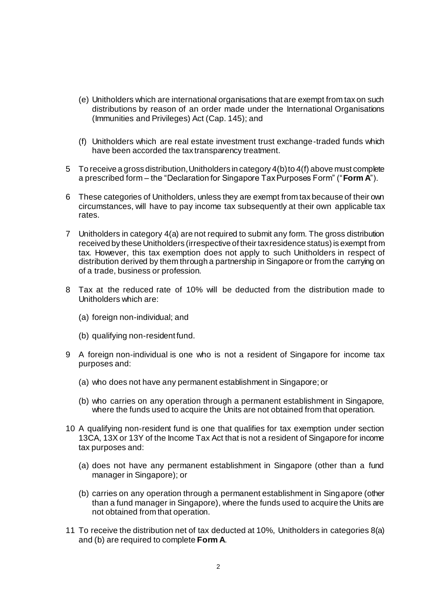- (e) Unitholders which are international organisations that are exempt from tax on such distributions by reason of an order made under the International Organisations (Immunities and Privileges) Act (Cap. 145); and
- (f) Unitholders which are real estate investment trust exchange-traded funds which have been accorded the tax transparency treatment.
- 5 To receive a gross distribution, Unitholders in category 4(b) to 4(f) above must complete a prescribed form – the "Declaration for Singapore Tax Purposes Form" ("**Form A**").
- 6 These categories of Unitholders, unless they are exempt from tax because of their own circumstances, will have to pay income tax subsequently at their own applicable tax rates.
- 7 Unitholders in category 4(a) are not required to submit any form. The gross distribution received by these Unitholders (irrespective of their tax residence status) is exempt from tax. However, this tax exemption does not apply to such Unitholders in respect of distribution derived by them through a partnership in Singapore or from the carrying on of a trade, business or profession.
- 8 Tax at the reduced rate of 10% will be deducted from the distribution made to Unitholders which are:
	- (a) foreign non-individual; and
	- (b) qualifying non-resident fund.
- 9 A foreign non-individual is one who is not a resident of Singapore for income tax purposes and:
	- (a) who does not have any permanent establishment in Singapore; or
	- (b) who carries on any operation through a permanent establishment in Singapore, where the funds used to acquire the Units are not obtained from that operation.
- 10 A qualifying non-resident fund is one that qualifies for tax exemption under section 13CA, 13X or 13Y of the Income Tax Act that is not a resident of Singapore for income tax purposes and:
	- (a) does not have any permanent establishment in Singapore (other than a fund manager in Singapore); or
	- (b) carries on any operation through a permanent establishment in Singapore (other than a fund manager in Singapore), where the funds used to acquire the Units are not obtained from that operation.
- 11 To receive the distribution net of tax deducted at 10%, Unitholders in categories 8(a) and (b) are required to complete **Form A**.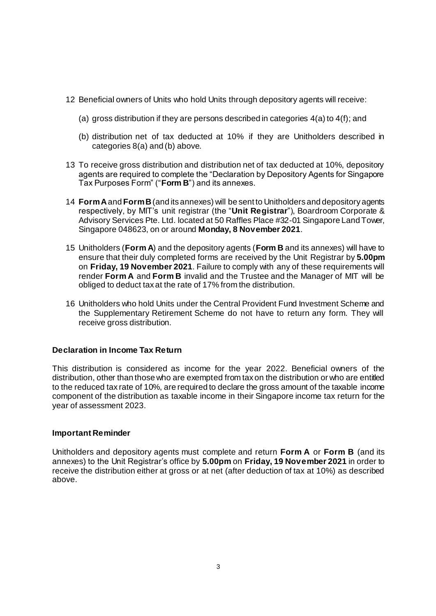- 12 Beneficial owners of Units who hold Units through depository agents will receive:
	- (a) gross distribution if they are persons described in categories  $4(a)$  to  $4(f)$ ; and
	- (b) distribution net of tax deducted at 10% if they are Unitholders described in categories 8(a) and (b) above.
- 13 To receive gross distribution and distribution net of tax deducted at 10%, depository agents are required to complete the "Declaration by Depository Agents for Singapore Tax Purposes Form" ("**Form B**") and its annexes.
- 14 **Form A**and **Form B**(and its annexes) will be sent to Unitholders and depository agents respectively, by MIT's unit registrar (the "**Unit Registrar**"), Boardroom Corporate & Advisory Services Pte. Ltd. located at 50 Raffles Place #32-01 Singapore Land Tower, Singapore 048623, on or around **Monday, 8 November 2021**.
- 15 Unitholders (**Form A**) and the depository agents (**Form B** and its annexes) will have to ensure that their duly completed forms are received by the Unit Registrar by **5.00pm** on **Friday, 19 November 2021**. Failure to comply with any of these requirements will render **Form A** and **Form B** invalid and the Trustee and the Manager of MIT will be obliged to deduct tax at the rate of 17% from the distribution.
- 16 Unitholders who hold Units under the Central Provident Fund Investment Scheme and the Supplementary Retirement Scheme do not have to return any form. They will receive gross distribution.

## **Declaration in Income Tax Return**

This distribution is considered as income for the year 2022. Beneficial owners of the distribution, other than those who are exempted from tax on the distribution or who are entitled to the reduced tax rate of 10%, are required to declare the gross amount of the taxable income component of the distribution as taxable income in their Singapore income tax return for the year of assessment 2023.

## **Important Reminder**

Unitholders and depository agents must complete and return **Form A** or **Form B** (and its annexes) to the Unit Registrar's office by **5.00pm** on **Friday, 19 November 2021** in order to receive the distribution either at gross or at net (after deduction of tax at 10%) as described above.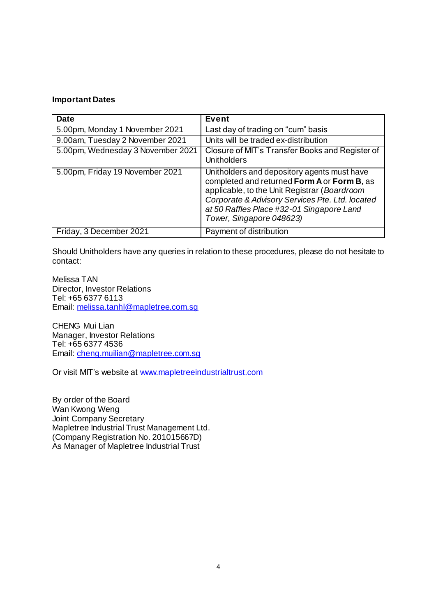### **Important Dates**

| <b>Date</b>                       | <b>Event</b>                                                                                                                                                                                                                                                           |
|-----------------------------------|------------------------------------------------------------------------------------------------------------------------------------------------------------------------------------------------------------------------------------------------------------------------|
| 5.00pm, Monday 1 November 2021    | Last day of trading on "cum" basis                                                                                                                                                                                                                                     |
| 9.00am, Tuesday 2 November 2021   | Units will be traded ex-distribution                                                                                                                                                                                                                                   |
| 5.00pm, Wednesday 3 November 2021 | Closure of MIT's Transfer Books and Register of<br><b>Unitholders</b>                                                                                                                                                                                                  |
| 5.00pm, Friday 19 November 2021   | Unitholders and depository agents must have<br>completed and returned Form A or Form B, as<br>applicable, to the Unit Registrar (Boardroom<br>Corporate & Advisory Services Pte. Ltd. located<br>at 50 Raffles Place #32-01 Singapore Land<br>Tower, Singapore 048623) |
| Friday, 3 December 2021           | Payment of distribution                                                                                                                                                                                                                                                |

Should Unitholders have any queries in relation to these procedures, please do not hesitate to contact:

Melissa TAN Director, Investor Relations Tel: +65 6377 6113 Email: [melissa.tanhl@mapletree.com.sg](mailto:melissa.tanhl@mapletree.com.sg)

CHENG Mui Lian Manager, Investor Relations Tel: +65 6377 4536 Email: [cheng.muilian@mapletree.com.sg](mailto:cheng.muilian@mapletree.com.sg)

Or visit MIT's website at [www.mapletreeindustrialtrust.com](http://www.mapletreeindustrialtrust.com/)

By order of the Board Wan Kwong Weng Joint Company Secretary Mapletree Industrial Trust Management Ltd. (Company Registration No. 201015667D) As Manager of Mapletree Industrial Trust